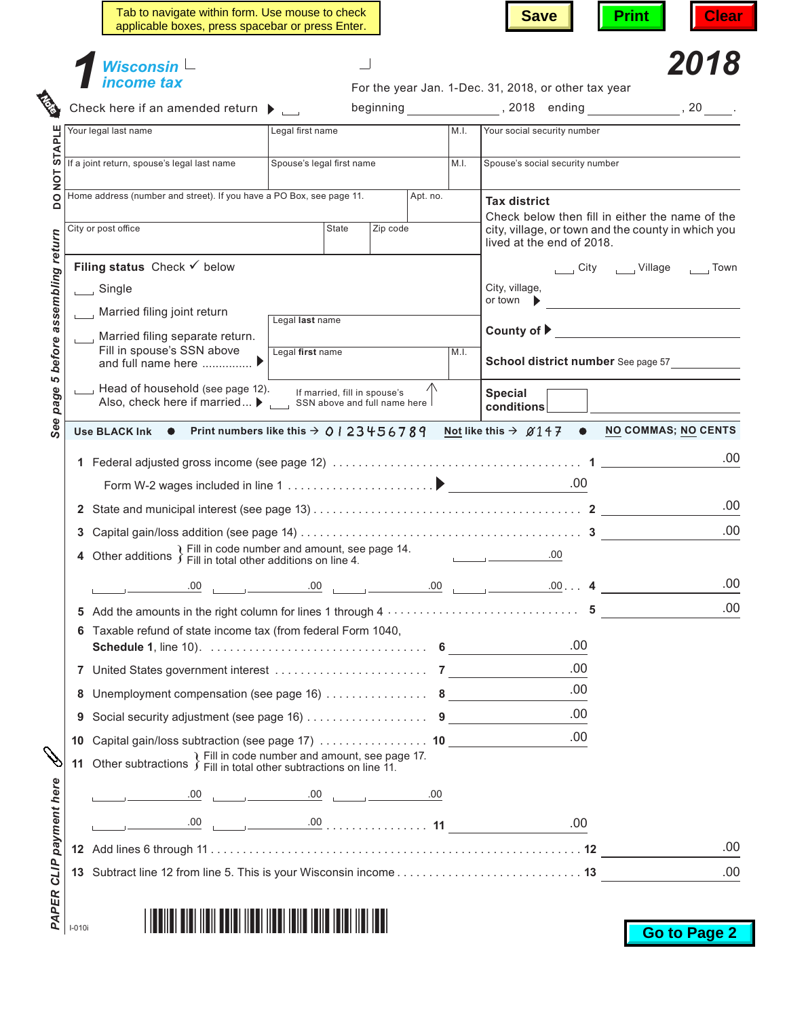|                     | Wisconsin $\mathrel{\mathsf{L}}$<br>income tax                                                                                                                                         |                              |                                                                                     |          |      | For the year Jan. 1-Dec. 31, 2018, or other tax year                                                                                                                                                                                 | 2018         |
|---------------------|----------------------------------------------------------------------------------------------------------------------------------------------------------------------------------------|------------------------------|-------------------------------------------------------------------------------------|----------|------|--------------------------------------------------------------------------------------------------------------------------------------------------------------------------------------------------------------------------------------|--------------|
|                     | Check here if an amended return $\blacktriangleright$                                                                                                                                  |                              |                                                                                     |          |      | beginning the set of the set of the set of the set of the set of the set of the set of the set of the set of t                                                                                                                       |              |
|                     | Your legal last name                                                                                                                                                                   | Legal first name             |                                                                                     |          | M.I. | Your social security number                                                                                                                                                                                                          |              |
|                     | If a joint return, spouse's legal last name                                                                                                                                            | Spouse's legal first name    |                                                                                     |          | M.I. | Spouse's social security number                                                                                                                                                                                                      |              |
|                     | Home address (number and street). If you have a PO Box, see page 11.                                                                                                                   |                              |                                                                                     | Apt. no. |      | <b>Tax district</b>                                                                                                                                                                                                                  |              |
| City or post office |                                                                                                                                                                                        | <b>State</b>                 | Zip code                                                                            |          |      | Check below then fill in either the name of the<br>city, village, or town and the county in which you                                                                                                                                |              |
|                     |                                                                                                                                                                                        |                              |                                                                                     |          |      | lived at the end of 2018.                                                                                                                                                                                                            |              |
|                     | Filing status Check $\checkmark$ below                                                                                                                                                 |                              |                                                                                     |          |      |                                                                                                                                                                                                                                      | Uillage nown |
| $\Box$ Single       |                                                                                                                                                                                        |                              |                                                                                     |          |      | City, village,<br>or town                                                                                                                                                                                                            |              |
|                     | Married filing joint return                                                                                                                                                            | Legal last name              |                                                                                     |          |      | County of $\blacktriangleright$                                                                                                                                                                                                      |              |
|                     | Married filing separate return.<br>Fill in spouse's SSN above<br>and full name here $\ldots$ $\blacksquare$                                                                            | Legal first name             |                                                                                     |          | M.I. | School district number See page 57                                                                                                                                                                                                   |              |
|                     | Head of household (see page 12).<br>Also, check here if married ▶                                                                                                                      | SSN above and full name here | If married, fill in spouse's                                                        |          |      | <b>Special</b><br>conditions                                                                                                                                                                                                         |              |
|                     | Use BLACK Ink $\bullet$ Print numbers like this $\rightarrow$ 0   23456789 Not like this $\rightarrow$ 0147 $\bullet$ NO COMMAS; NO CENTS                                              |                              |                                                                                     |          |      | .00                                                                                                                                                                                                                                  |              |
|                     |                                                                                                                                                                                        |                              |                                                                                     |          |      | .00                                                                                                                                                                                                                                  |              |
|                     | 4 Other additions $\}$ Fill in code number and amount, see page 14.                                                                                                                    |                              |                                                                                     |          |      | <u> The Common State State State State State State State State State State State State State State State State State State State State State State State State State State State State State State State State State State State</u> |              |
|                     | .00                                                                                                                                                                                    | .00.                         | $\begin{array}{ccc} \hline \end{array}$ .00 $\begin{array}{ccc} \hline \end{array}$ |          |      | $00 \ldots$ 4                                                                                                                                                                                                                        |              |
|                     | 5 Add the amounts in the right column for lines 1 through $4 \ldots \ldots \ldots \ldots \ldots \ldots \ldots \ldots$<br>6 Taxable refund of state income tax (from federal Form 1040, |                              |                                                                                     |          |      |                                                                                                                                                                                                                                      |              |
|                     |                                                                                                                                                                                        |                              |                                                                                     |          |      | .00                                                                                                                                                                                                                                  |              |
|                     |                                                                                                                                                                                        |                              |                                                                                     |          |      | .00                                                                                                                                                                                                                                  |              |
| 8                   |                                                                                                                                                                                        |                              |                                                                                     |          |      | .00                                                                                                                                                                                                                                  |              |
|                     | Social security adjustment (see page 16) 9                                                                                                                                             |                              |                                                                                     |          |      | .00                                                                                                                                                                                                                                  |              |
| 10                  | Capital gain/loss subtraction (see page 17) 10<br>11 Other subtractions $\}$ Fill in code number and amount, see page 17.                                                              |                              |                                                                                     |          |      | .00                                                                                                                                                                                                                                  |              |
|                     | .00.                                                                                                                                                                                   |                              |                                                                                     | .00      |      |                                                                                                                                                                                                                                      |              |
|                     |                                                                                                                                                                                        |                              |                                                                                     |          |      | .00                                                                                                                                                                                                                                  |              |
|                     |                                                                                                                                                                                        |                              |                                                                                     |          |      |                                                                                                                                                                                                                                      |              |

| <u>THE TILL BIRD OF THE BIRD OF THE TIME TIME TIME TIME TIME T</u> |  |
|--------------------------------------------------------------------|--|
|--------------------------------------------------------------------|--|

**Go to Page 2**

PAPER<br>
<sub>I-010i</sub>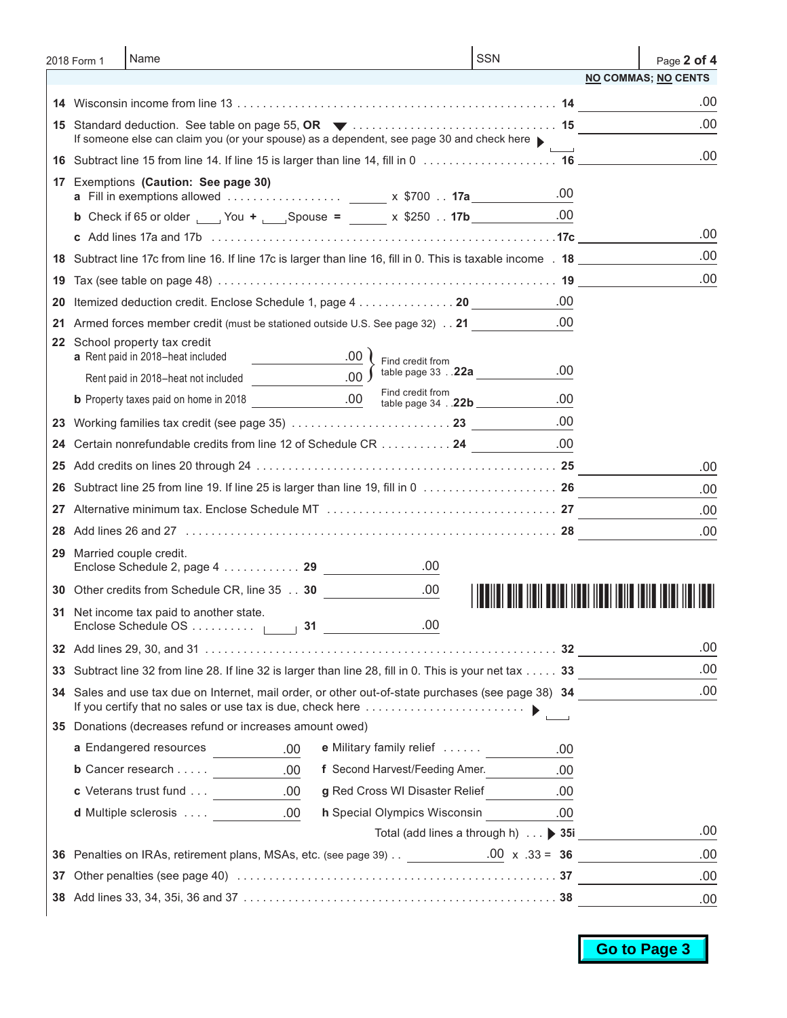|    | 2018 Form 1 | Name                                                                                                          |                                                    | <b>SSN</b>                          | Page 2 of 4                       |
|----|-------------|---------------------------------------------------------------------------------------------------------------|----------------------------------------------------|-------------------------------------|-----------------------------------|
|    |             |                                                                                                               |                                                    |                                     | <b>NO COMMAS; NO CENTS</b>        |
|    |             |                                                                                                               |                                                    |                                     | .00                               |
|    |             | If someone else can claim you (or your spouse) as a dependent, see page 30 and check here                     |                                                    |                                     | .00                               |
|    |             |                                                                                                               |                                                    |                                     | .00                               |
| 17 |             | Exemptions (Caution: See page 30)                                                                             |                                                    |                                     |                                   |
|    |             |                                                                                                               |                                                    | .00                                 |                                   |
|    |             | <b>b</b> Check if 65 or older _____ You + _____ Spouse = ______ x \$250 17b _________                         |                                                    | .00                                 |                                   |
|    |             |                                                                                                               |                                                    |                                     | .00                               |
|    |             | 18 Subtract line 17c from line 16. If line 17c is larger than line 16, fill in 0. This is taxable income . 18 |                                                    |                                     | .00                               |
| 19 |             |                                                                                                               |                                                    |                                     | .00                               |
| 20 |             | Itemized deduction credit. Enclose Schedule 1, page 4 20                                                      |                                                    | .00                                 |                                   |
| 21 |             | Armed forces member credit (must be stationed outside U.S. See page 32) 21                                    |                                                    | .00                                 |                                   |
|    |             | 22 School property tax credit<br>a Rent paid in 2018-heat included                                            |                                                    |                                     |                                   |
|    |             | Rent paid in 2018-heat not included                                                                           | Find credit from<br>.00 $\int$ table page 33 . 22a | .00                                 |                                   |
|    |             |                                                                                                               | Find credit from                                   | .00                                 |                                   |
|    |             |                                                                                                               |                                                    | .00                                 |                                   |
|    |             |                                                                                                               |                                                    |                                     |                                   |
| 24 |             | Certain nonrefundable credits from line 12 of Schedule CR 24                                                  |                                                    | .00                                 |                                   |
|    |             |                                                                                                               |                                                    |                                     | .00                               |
| 26 |             |                                                                                                               |                                                    |                                     | .00                               |
| 27 |             |                                                                                                               |                                                    |                                     | .00                               |
| 28 |             |                                                                                                               |                                                    |                                     | .00                               |
| 29 |             | Married couple credit.                                                                                        | .00                                                |                                     |                                   |
|    |             | 30 Other credits from Schedule CR, line 35 30                                                                 | .00.                                               |                                     | <u>TITU IIIII IIIIII IIIII II</u> |
|    |             | 31 Net income tax paid to another state.<br>Enclose Schedule OS $\vert \qquad \vert$ 31 ___________           | .00                                                |                                     |                                   |
|    |             |                                                                                                               |                                                    |                                     | .00                               |
| 33 |             | Subtract line 32 from line 28. If line 32 is larger than line 28, fill in 0. This is your net tax 33          |                                                    |                                     | .00.                              |
|    |             | 34 Sales and use tax due on Internet, mail order, or other out-of-state purchases (see page 38) 34            |                                                    |                                     | .00                               |
|    |             | 35 Donations (decreases refund or increases amount owed)                                                      |                                                    |                                     |                                   |
|    |             | a Endangered resources<br>.00.                                                                                | e Military family relief                           | .00                                 |                                   |
|    |             | <b>b</b> Cancer research $\underline{\qquad \qquad .00}$                                                      | f Second Harvest/Feeding Amer.                     | .00                                 |                                   |
|    |             |                                                                                                               | g Red Cross WI Disaster Relief                     | .00                                 |                                   |
|    |             | <b>d</b> Multiple sclerosis 00                                                                                |                                                    | h Special Olympics Wisconsin .00    |                                   |
|    |             |                                                                                                               |                                                    | Total (add lines a through h) ▶ 35i | .00                               |
|    |             | 36 Penalties on IRAs, retirement plans, MSAs, etc. (see page 39) $\ldots$ 00 x .33 = 36                       |                                                    |                                     | .00                               |
| 37 |             |                                                                                                               |                                                    |                                     | .00                               |
|    |             |                                                                                                               |                                                    |                                     | .00                               |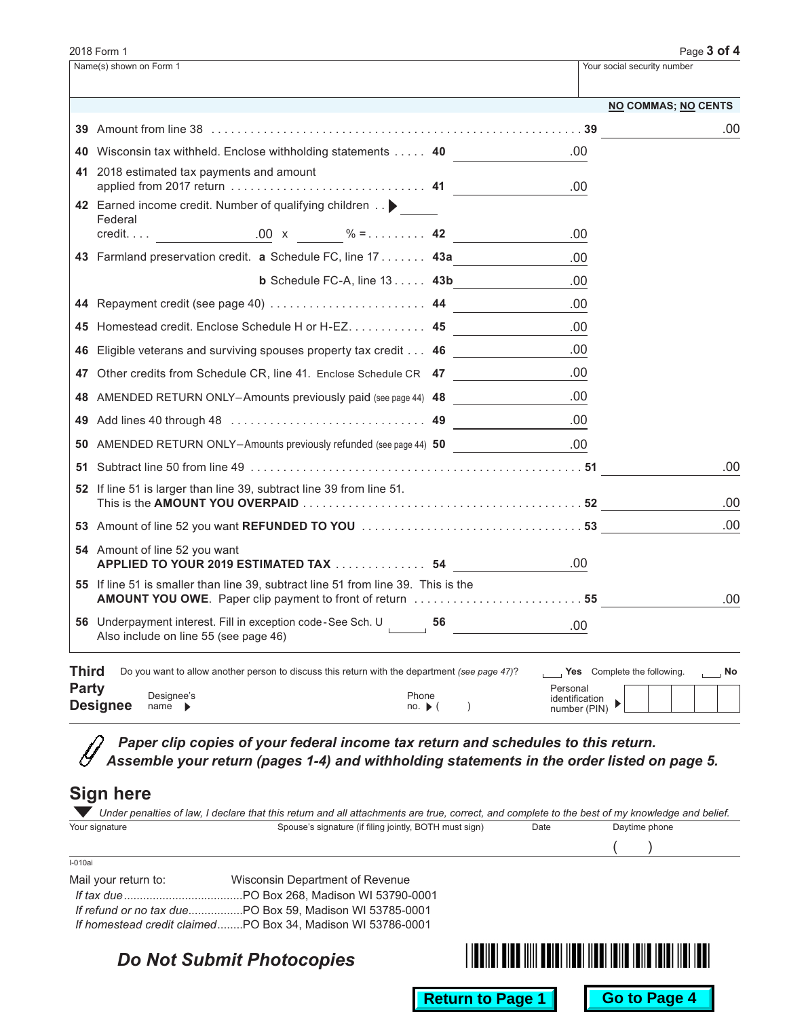|                       | 2018 Form 1                                                                                                                                                                                                        |                                                                                                                                                                                                                                                                                                                                                                                                                                                                    | Page $3$ of $4$   |
|-----------------------|--------------------------------------------------------------------------------------------------------------------------------------------------------------------------------------------------------------------|--------------------------------------------------------------------------------------------------------------------------------------------------------------------------------------------------------------------------------------------------------------------------------------------------------------------------------------------------------------------------------------------------------------------------------------------------------------------|-------------------|
|                       | Name(s) shown on Form 1                                                                                                                                                                                            | Your social security number                                                                                                                                                                                                                                                                                                                                                                                                                                        |                   |
|                       |                                                                                                                                                                                                                    | <b>NO COMMAS; NO CENTS</b>                                                                                                                                                                                                                                                                                                                                                                                                                                         |                   |
|                       |                                                                                                                                                                                                                    |                                                                                                                                                                                                                                                                                                                                                                                                                                                                    | .00               |
|                       | 40 Wisconsin tax withheld. Enclose withholding statements 40                                                                                                                                                       | .00.                                                                                                                                                                                                                                                                                                                                                                                                                                                               |                   |
|                       | 41 2018 estimated tax payments and amount                                                                                                                                                                          | .00                                                                                                                                                                                                                                                                                                                                                                                                                                                                |                   |
|                       | 42 Earned income credit. Number of qualifying children ><br>Federal                                                                                                                                                | .00                                                                                                                                                                                                                                                                                                                                                                                                                                                                |                   |
|                       | 43 Farmland preservation credit. a Schedule FC, line 17 43a                                                                                                                                                        |                                                                                                                                                                                                                                                                                                                                                                                                                                                                    |                   |
|                       | <b>b</b> Schedule FC-A, line $13$ 43b                                                                                                                                                                              | .00                                                                                                                                                                                                                                                                                                                                                                                                                                                                |                   |
|                       |                                                                                                                                                                                                                    | .00                                                                                                                                                                                                                                                                                                                                                                                                                                                                |                   |
|                       |                                                                                                                                                                                                                    | .00                                                                                                                                                                                                                                                                                                                                                                                                                                                                |                   |
|                       | 45 Homestead credit. Enclose Schedule H or H-EZ. 45                                                                                                                                                                | .00                                                                                                                                                                                                                                                                                                                                                                                                                                                                |                   |
|                       | 46 Eligible veterans and surviving spouses property tax credit 46                                                                                                                                                  | .00                                                                                                                                                                                                                                                                                                                                                                                                                                                                |                   |
|                       | 47 Other credits from Schedule CR, line 41. Enclose Schedule CR 47                                                                                                                                                 | .00                                                                                                                                                                                                                                                                                                                                                                                                                                                                |                   |
|                       | 48 AMENDED RETURN ONLY-Amounts previously paid (see page 44) 48                                                                                                                                                    | .00                                                                                                                                                                                                                                                                                                                                                                                                                                                                |                   |
|                       |                                                                                                                                                                                                                    | .00                                                                                                                                                                                                                                                                                                                                                                                                                                                                |                   |
|                       | 50 AMENDED RETURN ONLY-Amounts previously refunded (see page 44) 50                                                                                                                                                | .00.                                                                                                                                                                                                                                                                                                                                                                                                                                                               |                   |
|                       |                                                                                                                                                                                                                    |                                                                                                                                                                                                                                                                                                                                                                                                                                                                    | .00               |
|                       | 52 If line 51 is larger than line 39, subtract line 39 from line 51.                                                                                                                                               |                                                                                                                                                                                                                                                                                                                                                                                                                                                                    | .00               |
|                       |                                                                                                                                                                                                                    |                                                                                                                                                                                                                                                                                                                                                                                                                                                                    | .00               |
|                       | 54 Amount of line 52 you want<br>APPLIED TO YOUR 2019 ESTIMATED TAX  54                                                                                                                                            | .00                                                                                                                                                                                                                                                                                                                                                                                                                                                                |                   |
|                       | <b>55</b> If line 51 is smaller than line 39, subtract line 51 from line 39. This is the                                                                                                                           |                                                                                                                                                                                                                                                                                                                                                                                                                                                                    | .00               |
|                       | 56 Underpayment interest. Fill in exception code-See Sch. U 56<br>Also include on line 55 (see page 46)                                                                                                            | .00.                                                                                                                                                                                                                                                                                                                                                                                                                                                               |                   |
| Third<br><b>Party</b> | Do you want to allow another person to discuss this return with the department (see page 47)?<br>Designee's<br>Phone<br><b>Designee</b><br>$name \rightarrow$<br>$no.$ $\blacktriangleright$ (<br>$\left( \right)$ | Yes Complete the following.<br>Personal<br>identification<br>$\begin{picture}(120,10) \put(0,0){\dashbox{0.5}(120,0){ }} \put(15,0){\circle{1}} \put(15,0){\circle{1}} \put(15,0){\circle{1}} \put(15,0){\circle{1}} \put(15,0){\circle{1}} \put(15,0){\circle{1}} \put(15,0){\circle{1}} \put(15,0){\circle{1}} \put(15,0){\circle{1}} \put(15,0){\circle{1}} \put(15,0){\circle{1}} \put(15,0){\circle{1}} \put(15,0){\circle{1}} \put(15,0){\circle{1}} \put(1$ | $\overline{a}$ No |

 $\mathcal{D}$ *Paper clip copies of your federal income tax return and schedules to this return.*  $\mathscr Y$ *Assemble your return (pages 1-4) and withholding statements in the order listed on page 5.*

## **Sign here**

| Your signature       | Spouse's signature (if filing jointly, BOTH must sign)      | Date | Daytime phone       |
|----------------------|-------------------------------------------------------------|------|---------------------|
|                      |                                                             |      |                     |
| $I-010ai$            |                                                             |      |                     |
| Mail your return to: | Wisconsin Department of Revenue                             |      |                     |
| If tax due           | .PO Box 268. Madison WI 53790-0001                          |      |                     |
|                      |                                                             |      |                     |
|                      | If homestead credit claimedPO Box 34. Madison WI 53786-0001 |      |                     |
|                      | <b>Do Not Submit Photocopies</b>                            |      |                     |
|                      |                                                             |      |                     |
|                      | <b>Return to Page 1</b>                                     |      | <b>Go to Page 4</b> |